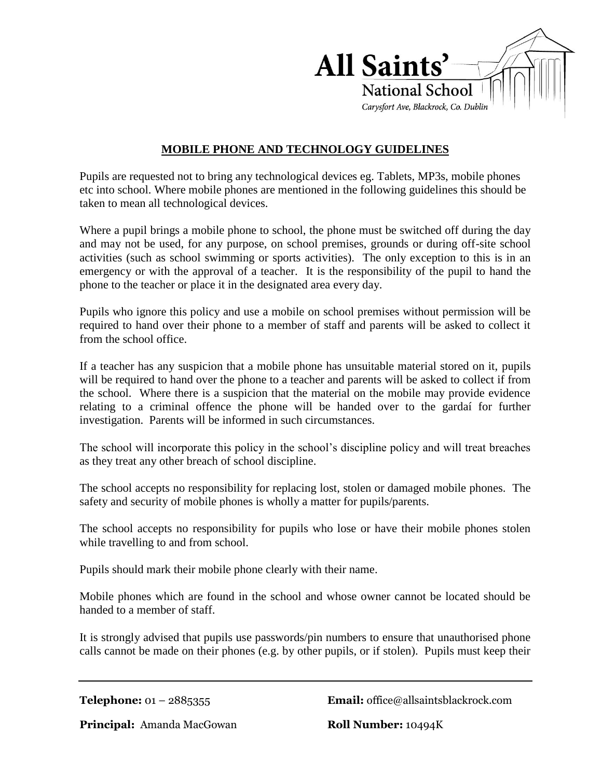

## **MOBILE PHONE AND TECHNOLOGY GUIDELINES**

Pupils are requested not to bring any technological devices eg. Tablets, MP3s, mobile phones etc into school. Where mobile phones are mentioned in the following guidelines this should be taken to mean all technological devices.

Where a pupil brings a mobile phone to school, the phone must be switched off during the day and may not be used, for any purpose, on school premises, grounds or during off-site school activities (such as school swimming or sports activities). The only exception to this is in an emergency or with the approval of a teacher. It is the responsibility of the pupil to hand the phone to the teacher or place it in the designated area every day.

Pupils who ignore this policy and use a mobile on school premises without permission will be required to hand over their phone to a member of staff and parents will be asked to collect it from the school office.

If a teacher has any suspicion that a mobile phone has unsuitable material stored on it, pupils will be required to hand over the phone to a teacher and parents will be asked to collect if from the school. Where there is a suspicion that the material on the mobile may provide evidence relating to a criminal offence the phone will be handed over to the gardaí for further investigation. Parents will be informed in such circumstances.

The school will incorporate this policy in the school's discipline policy and will treat breaches as they treat any other breach of school discipline.

The school accepts no responsibility for replacing lost, stolen or damaged mobile phones. The safety and security of mobile phones is wholly a matter for pupils/parents.

The school accepts no responsibility for pupils who lose or have their mobile phones stolen while travelling to and from school.

Pupils should mark their mobile phone clearly with their name.

Mobile phones which are found in the school and whose owner cannot be located should be handed to a member of staff.

It is strongly advised that pupils use passwords/pin numbers to ensure that unauthorised phone calls cannot be made on their phones (e.g. by other pupils, or if stolen). Pupils must keep their

**Telephone:** 01 – 2885355 **Email:** office@allsaintsblackrock.com

**Principal:** Amanda MacGowan **Roll Number:** 10494K